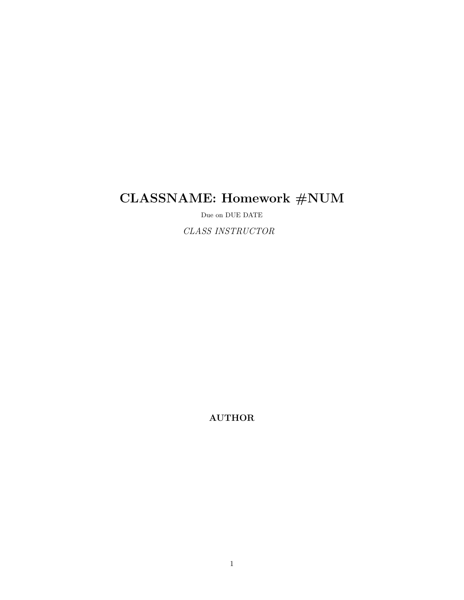# CLASSNAME: Homework #NUM

Due on DUE DATE

CLASS INSTRUCTOR

AUTHOR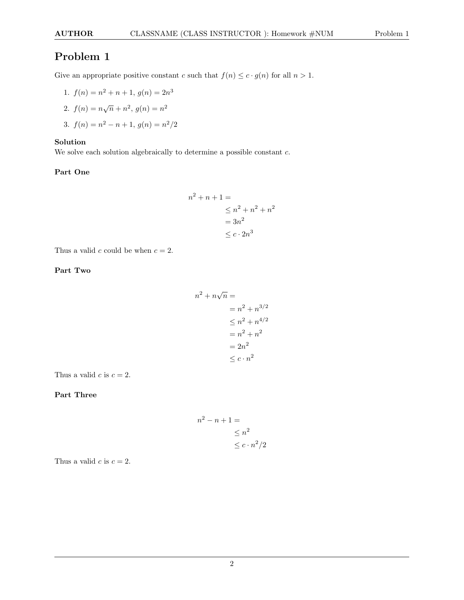Give an appropriate positive constant c such that  $f(n) \leq c \cdot g(n)$  for all  $n > 1$ .

1. 
$$
f(n) = n^2 + n + 1
$$
,  $g(n) = 2n^3$ 

2. 
$$
f(n) = n\sqrt{n} + n^2
$$
,  $g(n) = n^2$ 

3. 
$$
f(n) = n^2 - n + 1
$$
,  $g(n) = n^2/2$ 

### Solution

We solve each solution algebraically to determine a possible constant  $c$ .

#### Part One

$$
n2 + n + 1 =
$$
  
\n
$$
\leq n2 + n2 + n2
$$
  
\n
$$
= 3n2
$$
  
\n
$$
\leq c \cdot 2n3
$$

Thus a valid c could be when  $c = 2$ .

#### Part Two

$$
n2 + n\sqrt{n} =
$$
  

$$
= n2 + n3/2
$$
  

$$
\leq n2 + n4/2
$$
  

$$
= n2 + n2
$$
  

$$
= 2n2
$$
  

$$
\leq c \cdot n2
$$

Thus a valid  $c$  is  $c = 2$ .

### Part Three

$$
n^{2} - n + 1 =
$$
  
\n
$$
\leq n^{2}
$$
  
\n
$$
\leq c \cdot n^{2}/2
$$

Thus a valid  $c$  is  $c = 2$ .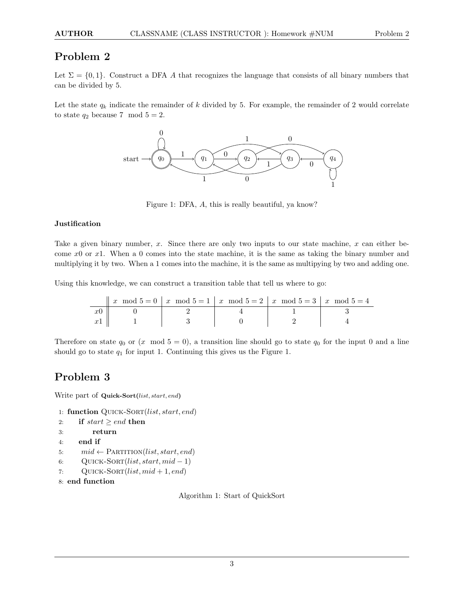### AUTHOR CLASSNAME (CLASS INSTRUCTOR): Homework #NUM Problem 2

### Problem 2

Let  $\Sigma = \{0, 1\}$ . Construct a DFA A that recognizes the language that consists of all binary numbers that can be divided by 5.

Let the state  $q_k$  indicate the remainder of k divided by 5. For example, the remainder of 2 would correlate to state  $q_2$  because 7 mod  $5 = 2$ .



Figure 1: DFA, A, this is really beautiful, ya know?

#### **Justification**

Take a given binary number, x. Since there are only two inputs to our state machine, x can either become  $x0$  or  $x1$ . When a 0 comes into the state machine, it is the same as taking the binary number and multiplying it by two. When a 1 comes into the machine, it is the same as multipying by two and adding one.

Using this knowledge, we can construct a transition table that tell us where to go:

| x mod $5 = 0$   x mod $5 = 1$   x mod $5 = 2$   x mod $5 = 3$   x mod $5 = 4$ |  |  |
|-------------------------------------------------------------------------------|--|--|
|                                                                               |  |  |
|                                                                               |  |  |

Therefore on state  $q_0$  or  $(x \mod 5 = 0)$ , a transition line should go to state  $q_0$  for the input 0 and a line should go to state  $q_1$  for input 1. Continuing this gives us the Figure 1.

### Problem 3

Write part of Quick-Sort(list, start, end)

- 1: function QUICK-SORT(list, start, end)
- 2: if  $start \geq end$  then
- 3: return

```
4: end if
```
- 5:  $mid \leftarrow \text{PARTITION}(list, start, end)$
- 6: QUICK-SORT $(list, start, mid-1)$
- 7: QUICK-SORT $(list, mid + 1, end)$
- 8: end function

Algorithm 1: Start of QuickSort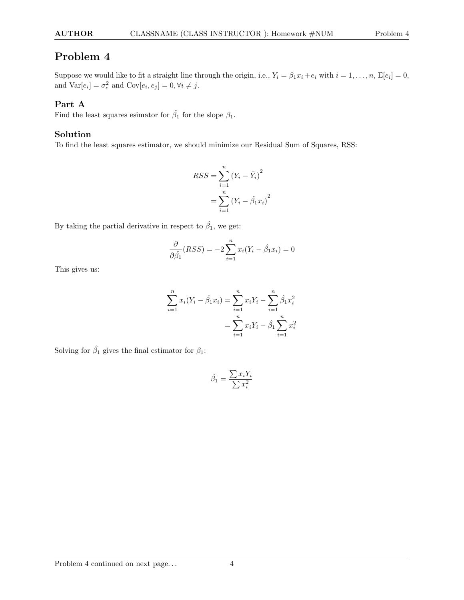Suppose we would like to fit a straight line through the origin, i.e.,  $Y_i = \beta_1 x_i + e_i$  with  $i = 1, \ldots, n$ ,  $\mathbb{E}[e_i] = 0$ , and  $\text{Var}[e_i] = \sigma_e^2$  and  $\text{Cov}[e_i, e_j] = 0, \forall i \neq j$ .

### Part A

Find the least squares esimator for  $\hat{\beta}_1$  for the slope  $\beta_1$ .

### Solution

To find the least squares estimator, we should minimize our Residual Sum of Squares, RSS:

$$
RSS = \sum_{i=1}^{n} (Y_i - \hat{Y}_i)^2
$$
  
= 
$$
\sum_{i=1}^{n} (Y_i - \hat{\beta}_1 x_i)^2
$$

By taking the partial derivative in respect to  $\hat{\beta}_1$ , we get:

$$
\frac{\partial}{\partial \hat{\beta}_1}(RSS) = -2\sum_{i=1}^n x_i(Y_i - \hat{\beta}_1 x_i) = 0
$$

This gives us:

$$
\sum_{i=1}^{n} x_i (Y_i - \hat{\beta}_1 x_i) = \sum_{i=1}^{n} x_i Y_i - \sum_{i=1}^{n} \hat{\beta}_1 x_i^2
$$

$$
= \sum_{i=1}^{n} x_i Y_i - \hat{\beta}_1 \sum_{i=1}^{n} x_i^2
$$

Solving for  $\hat{\beta}_1$  gives the final estimator for  $\beta_1$ :

$$
\hat{\beta_1} = \frac{\sum x_i Y_i}{\sum x_i^2}
$$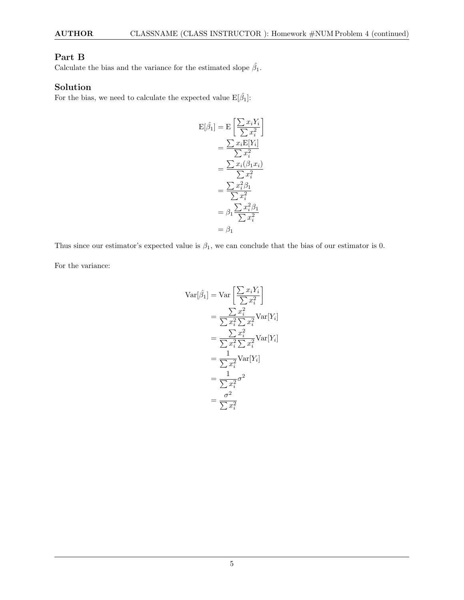### Part B

Calculate the bias and the variance for the estimated slope  $\hat{\beta}_1$ .

### Solution

For the bias, we need to calculate the expected value  $\mathbb{E}[\hat{\beta}_1]$ :

$$
E[\hat{\beta}_1] = E\left[\frac{\sum x_i Y_i}{\sum x_i^2}\right]
$$

$$
= \frac{\sum x_i E[Y_i]}{\sum x_i^2}
$$

$$
= \frac{\sum x_i (\beta_1 x_i)}{\sum x_i^2}
$$

$$
= \frac{\sum x_i^2 \beta_1}{\sum x_i^2}
$$

$$
= \beta_1 \frac{\sum x_i^2 \beta_1}{\sum x_i^2}
$$

$$
= \beta_1
$$

Thus since our estimator's expected value is  $\beta_1$ , we can conclude that the bias of our estimator is 0.

For the variance:

$$
\begin{aligned}\n\text{Var}[\hat{\beta}_1] &= \text{Var}\left[\frac{\sum x_i Y_i}{\sum x_i^2}\right] \\
&= \frac{\sum x_i^2}{\sum x_i^2 \sum x_i^2} \text{Var}[Y_i] \\
&= \frac{\sum x_i^2 \sum x_i^2}{\sum x_i^2 \sum x_i^2} \text{Var}[Y_i] \\
&= \frac{1}{\sum x_i^2} \text{Var}[Y_i] \\
&= \frac{1}{\sum x_i^2} \sigma^2 \\
&= \frac{\sigma^2}{\sum x_i^2}\n\end{aligned}
$$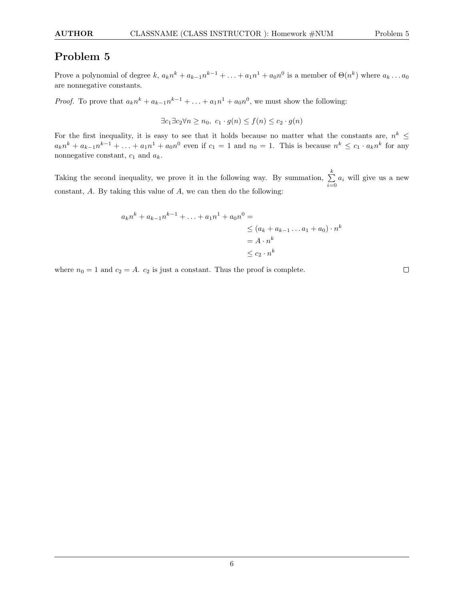Prove a polynomial of degree  $k, a_k n^k + a_{k-1} n^{k-1} + \ldots + a_1 n^1 + a_0 n^0$  is a member of  $\Theta(n^k)$  where  $a_k \ldots a_0$ are nonnegative constants.

*Proof.* To prove that  $a_k n^k + a_{k-1} n^{k-1} + \ldots + a_1 n^1 + a_0 n^0$ , we must show the following:

$$
\exists c_1 \exists c_2 \forall n \ge n_0, \ c_1 \cdot g(n) \le f(n) \le c_2 \cdot g(n)
$$

For the first inequality, it is easy to see that it holds because no matter what the constants are,  $n^k \leq$  $a_k n^k + a_{k-1} n^{k-1} + \ldots + a_1 n^1 + a_0 n^0$  even if  $c_1 = 1$  and  $n_0 = 1$ . This is because  $n^k \le c_1 \cdot a_k n^k$  for any nonnegative constant,  $c_1$  and  $a_k$ .

Taking the second inequality, we prove it in the following way. By summation,  $\sum_{k=1}^{k}$  $\sum_{i=0} a_i$  will give us a new constant, A. By taking this value of A, we can then do the following:

$$
a_k n^k + a_{k-1} n^{k-1} + \dots + a_1 n^1 + a_0 n^0 =
$$
  
\n
$$
\leq (a_k + a_{k-1} \dots a_1 + a_0) \cdot n^k
$$
  
\n
$$
= A \cdot n^k
$$
  
\n
$$
\leq c_2 \cdot n^k
$$

where  $n_0 = 1$  and  $c_2 = A$ .  $c_2$  is just a constant. Thus the proof is complete.

 $\Box$